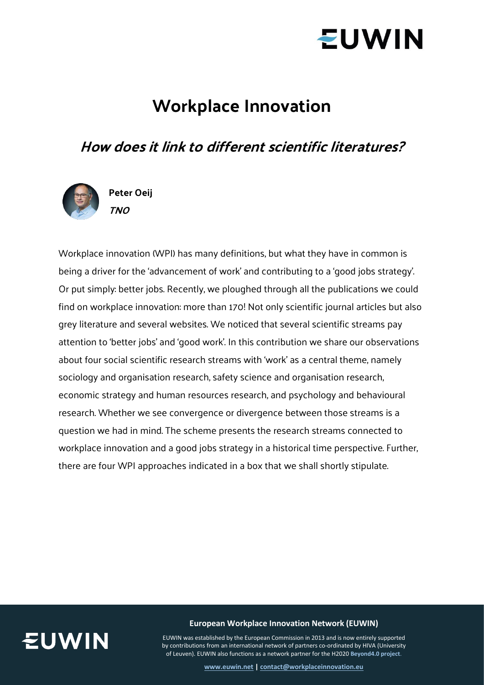

### **Workplace Innovation**

### **How does it link to different scientific literatures?**



Workplace innovation (WPI) has many definitions, but what they have in common is being a driver for the 'advancement of work' and contributing to a 'good jobs strategy'. Or put simply: better jobs. Recently, we ploughed through all the publications we could find on workplace innovation: more than 170! Not only scientific journal articles but also grey literature and several websites. We noticed that several scientific streams pay attention to 'better jobs' and 'good work'. In this contribution we share our observations about four social scientific research streams with 'work' as a central theme, namely sociology and organisation research, safety science and organisation research, economic strategy and human resources research, and psychology and behavioural research. Whether we see convergence or divergence between those streams is a question we had in mind. The scheme presents the research streams connected to workplace innovation and a good jobs strategy in a historical time perspective. Further, there are four WPI approaches indicated in a box that we shall shortly stipulate.



### **European Workplace Innovation Network (EUWIN)**

EUWIN was established by the European Commission in 2013 and is now entirely supported by contributions from an international network of partners co-ordinated by HIVA (University of Leuven). EUWIN also functions as a network partner for the H2020 **[Beyond4.0 project](https://beyond4-0.eu/)**.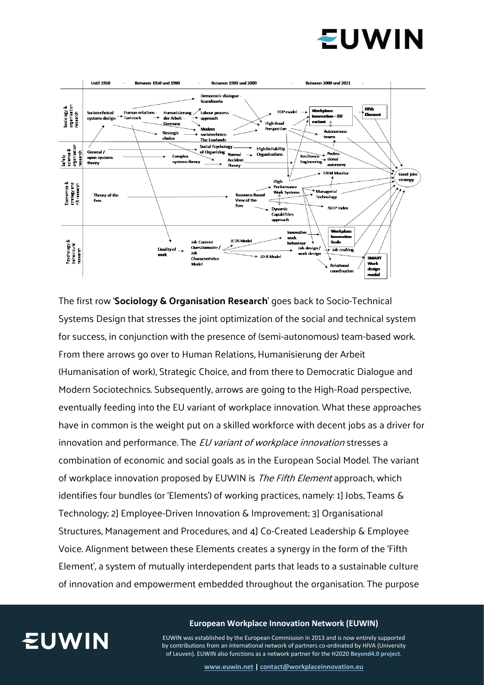



The first row '**Sociology & Organisation Research**' goes back to Socio-Technical Systems Design that stresses the joint optimization of the social and technical system for success, in conjunction with the presence of (semi-autonomous) team-based work. From there arrows go over to Human Relations, Humanisierung der Arbeit (Humanisation of work), Strategic Choice, and from there to Democratic Dialogue and Modern Sociotechnics. Subsequently, arrows are going to the High-Road perspective, eventually feeding into the EU variant of workplace innovation. What these approaches have in common is the weight put on a skilled workforce with decent jobs as a driver for innovation and performance. The *EU variant of workplace innovation* stresses a combination of economic and social goals as in the European Social Model. The variant of workplace innovation proposed by EUWIN is The Fifth Element approach, which identifies four bundles (or 'Elements') of working practices, namely: 1] Jobs, Teams & Technology; 2] Employee-Driven Innovation & Improvement; 3] Organisational Structures, Management and Procedures, and 4] Co-Created Leadership & Employee Voice. Alignment between these Elements creates a synergy in the form of the 'Fifth Element', a system of mutually interdependent parts that leads to a sustainable culture of innovation and empowerment embedded throughout the organisation. The purpose



#### **European Workplace Innovation Network (EUWIN)**

EUWIN was established by the European Commission in 2013 and is now entirely supported by contributions from an international network of partners co-ordinated by HIVA (University of Leuven). EUWIN also functions as a network partner for the H2020 **[Beyond4.0 project](https://beyond4-0.eu/)**.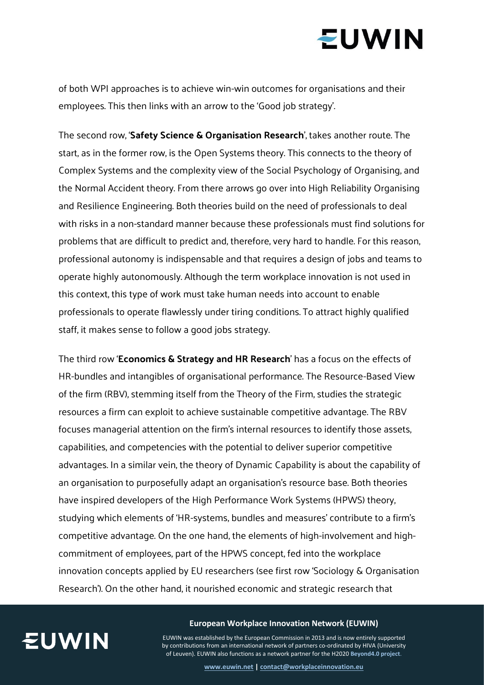# **EUWIN**

of both WPI approaches is to achieve win-win outcomes for organisations and their employees. This then links with an arrow to the 'Good job strategy'.

The second row, '**Safety Science & Organisation Research**', takes another route. The start, as in the former row, is the Open Systems theory. This connects to the theory of Complex Systems and the complexity view of the Social Psychology of Organising, and the Normal Accident theory. From there arrows go over into High Reliability Organising and Resilience Engineering. Both theories build on the need of professionals to deal with risks in a non-standard manner because these professionals must find solutions for problems that are difficult to predict and, therefore, very hard to handle. For this reason, professional autonomy is indispensable and that requires a design of jobs and teams to operate highly autonomously. Although the term workplace innovation is not used in this context, this type of work must take human needs into account to enable professionals to operate flawlessly under tiring conditions. To attract highly qualified staff, it makes sense to follow a good jobs strategy.

The third row '**Economics & Strategy and HR Research**' has a focus on the effects of HR-bundles and intangibles of organisational performance. The Resource-Based View of the firm (RBV), stemming itself from the Theory of the Firm, studies the strategic resources a firm can exploit to achieve sustainable competitive advantage. The RBV focuses managerial attention on the firm's internal resources to identify those assets, capabilities, and competencies with the potential to deliver superior competitive advantages. In a similar vein, the theory of Dynamic Capability is about the capability of an organisation to purposefully adapt an organisation's resource base. Both theories have inspired developers of the High Performance Work Systems (HPWS) theory, studying which elements of 'HR-systems, bundles and measures' contribute to a firm's competitive advantage. On the one hand, the elements of high-involvement and highcommitment of employees, part of the HPWS concept, fed into the workplace innovation concepts applied by EU researchers (see first row 'Sociology & Organisation Research'). On the other hand, it nourished economic and strategic research that



### **European Workplace Innovation Network (EUWIN)**

EUWIN was established by the European Commission in 2013 and is now entirely supported by contributions from an international network of partners co-ordinated by HIVA (University of Leuven). EUWIN also functions as a network partner for the H2020 **[Beyond4.0 project](https://beyond4-0.eu/)**.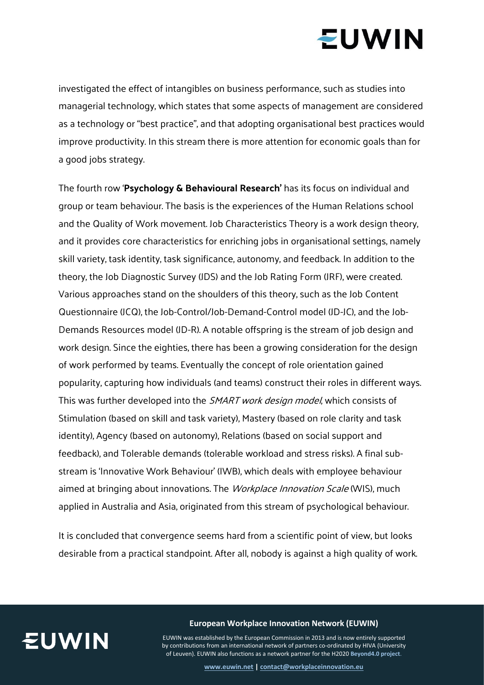# **EUWIN**

investigated the effect of intangibles on business performance, such as studies into managerial technology, which states that some aspects of management are considered as a technology or "best practice", and that adopting organisational best practices would improve productivity. In this stream there is more attention for economic goals than for a good jobs strategy.

The fourth row '**Psychology & Behavioural Research'** has its focus on individual and group or team behaviour. The basis is the experiences of the Human Relations school and the Quality of Work movement. Job Characteristics Theory is a work design theory, and it provides core characteristics for enriching jobs in organisational settings, namely skill variety, task identity, task significance, autonomy, and feedback. In addition to the theory, the Job Diagnostic Survey (JDS) and the Job Rating Form (JRF), were created. Various approaches stand on the shoulders of this theory, such as the Job Content Questionnaire (JCQ), the Job-Control/Job-Demand-Control model (JD-JC), and the Job-Demands Resources model (JD-R). A notable offspring is the stream of job design and work design. Since the eighties, there has been a growing consideration for the design of work performed by teams. Eventually the concept of role orientation gained popularity, capturing how individuals (and teams) construct their roles in different ways. This was further developed into the SMART work design model, which consists of Stimulation (based on skill and task variety), Mastery (based on role clarity and task identity), Agency (based on autonomy), Relations (based on social support and feedback), and Tolerable demands (tolerable workload and stress risks). A final substream is 'Innovative Work Behaviour' (IWB), which deals with employee behaviour aimed at bringing about innovations. The *Workplace Innovation Scale* (WIS), much applied in Australia and Asia, originated from this stream of psychological behaviour.

It is concluded that convergence seems hard from a scientific point of view, but looks desirable from a practical standpoint. After all, nobody is against a high quality of work.



**European Workplace Innovation Network (EUWIN)**

EUWIN was established by the European Commission in 2013 and is now entirely supported by contributions from an international network of partners co-ordinated by HIVA (University of Leuven). EUWIN also functions as a network partner for the H2020 **[Beyond4.0 project](https://beyond4-0.eu/)**.